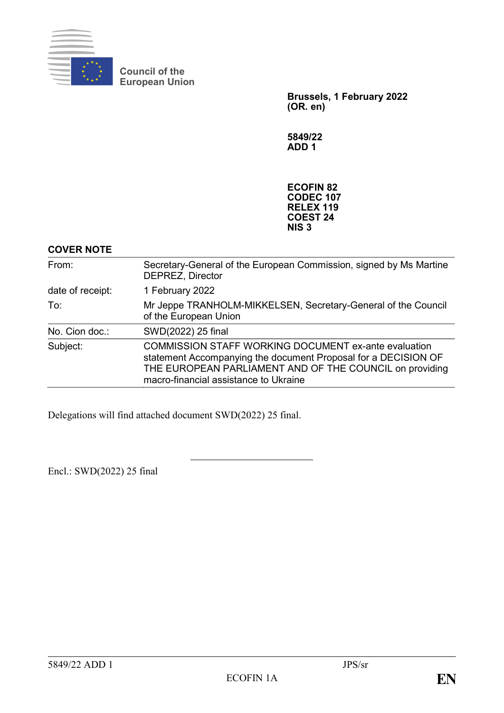

**Council of the European Union**

> **Brussels, 1 February 2022 (OR. en)**

**5849/22 ADD 1**

**ECOFIN 82 CODEC 107 RELEX 119 COEST 24 NIS 3**

## **COVER NOTE**

| From:            | Secretary-General of the European Commission, signed by Ms Martine<br><b>DEPREZ, Director</b>                                                                                                                                     |
|------------------|-----------------------------------------------------------------------------------------------------------------------------------------------------------------------------------------------------------------------------------|
| date of receipt: | 1 February 2022                                                                                                                                                                                                                   |
| To:              | Mr Jeppe TRANHOLM-MIKKELSEN, Secretary-General of the Council<br>of the European Union                                                                                                                                            |
| No. Cion doc.:   | SWD(2022) 25 final                                                                                                                                                                                                                |
| Subject:         | <b>COMMISSION STAFF WORKING DOCUMENT ex-ante evaluation</b><br>statement Accompanying the document Proposal for a DECISION OF<br>THE EUROPEAN PARLIAMENT AND OF THE COUNCIL on providing<br>macro-financial assistance to Ukraine |

Delegations will find attached document SWD(2022) 25 final.

Encl.: SWD(2022) 25 final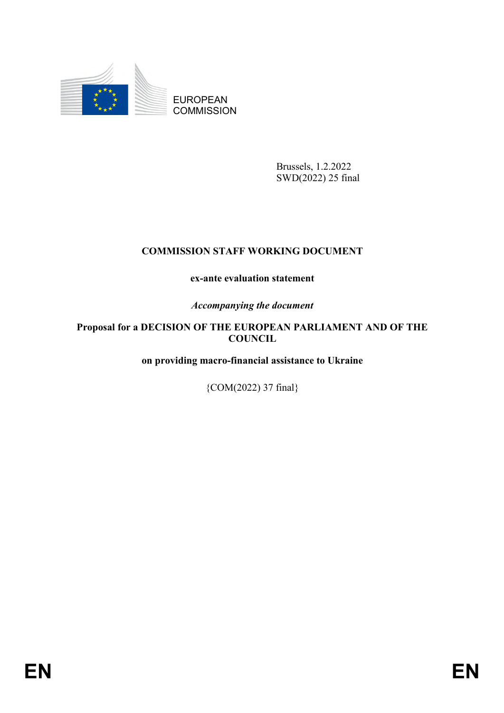

EUROPEAN **COMMISSION** 

> Brussels, 1.2.2022 SWD(2022) 25 final

# **COMMISSION STAFF WORKING DOCUMENT**

## **ex-ante evaluation statement**

*Accompanying the document*

## **Proposal for a DECISION OF THE EUROPEAN PARLIAMENT AND OF THE COUNCIL**

**on providing macro-financial assistance to Ukraine**

{COM(2022) 37 final}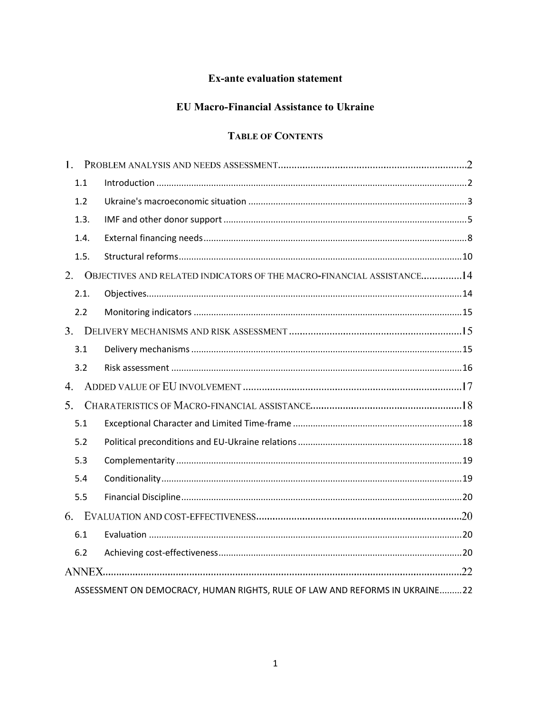## **Ex-ante evaluation statement**

# **EU Macro-Financial Assistance to Ukraine**

# **TABLE OF CONTENTS**

| 1.1  |                                                                             |  |
|------|-----------------------------------------------------------------------------|--|
| 1.2  |                                                                             |  |
| 1.3. |                                                                             |  |
| 1.4. |                                                                             |  |
| 1.5. |                                                                             |  |
|      | 2. OBJECTIVES AND RELATED INDICATORS OF THE MACRO-FINANCIAL ASSISTANCE14    |  |
| 2.1. |                                                                             |  |
| 2.2  |                                                                             |  |
|      |                                                                             |  |
| 3.1  |                                                                             |  |
| 3.2  |                                                                             |  |
| 4.   |                                                                             |  |
| 5.   |                                                                             |  |
| 5.1  |                                                                             |  |
| 5.2  |                                                                             |  |
| 5.3  |                                                                             |  |
| 5.4  |                                                                             |  |
| 5.5  |                                                                             |  |
|      |                                                                             |  |
| 6.1  |                                                                             |  |
| 6.2  |                                                                             |  |
|      |                                                                             |  |
|      | ASSESSMENT ON DEMOCRACY, HUMAN RIGHTS, RULE OF LAW AND REFORMS IN UKRAINE22 |  |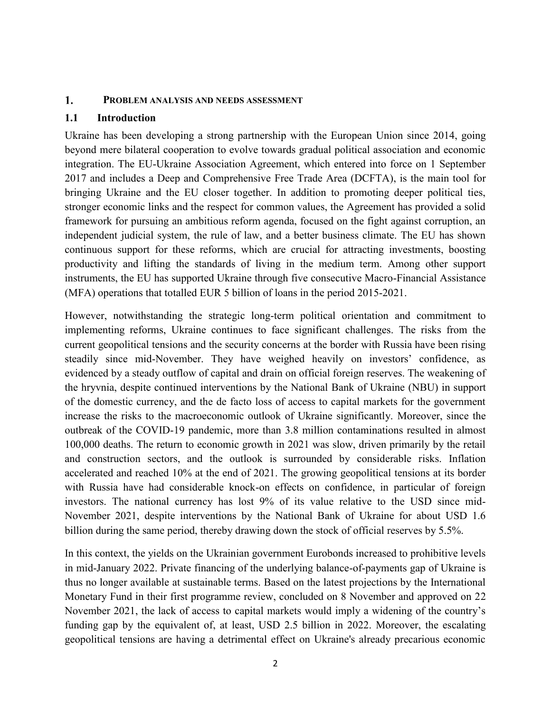#### 1. **PROBLEM ANALYSIS AND NEEDS ASSESSMENT**

#### <span id="page-3-0"></span>**1.1 Introduction**

Ukraine has been developing a strong partnership with the European Union since 2014, going beyond mere bilateral cooperation to evolve towards gradual political association and economic integration. The EU-Ukraine Association Agreement, which entered into force on 1 September 2017 and includes a Deep and Comprehensive Free Trade Area (DCFTA), is the main tool for bringing Ukraine and the EU closer together. In addition to promoting deeper political ties, stronger economic links and the respect for common values, the Agreement has provided a solid framework for pursuing an ambitious reform agenda, focused on the fight against corruption, an independent judicial system, the rule of law, and a better business climate. The EU has shown continuous support for these reforms, which are crucial for attracting investments, boosting productivity and lifting the standards of living in the medium term. Among other support instruments, the EU has supported Ukraine through five consecutive Macro-Financial Assistance (MFA) operations that totalled EUR 5 billion of loans in the period 2015-2021.

However, notwithstanding the strategic long-term political orientation and commitment to implementing reforms, Ukraine continues to face significant challenges. The risks from the current geopolitical tensions and the security concerns at the border with Russia have been rising steadily since mid-November. They have weighed heavily on investors' confidence, as evidenced by a steady outflow of capital and drain on official foreign reserves. The weakening of the hryvnia, despite continued interventions by the National Bank of Ukraine (NBU) in support of the domestic currency, and the de facto loss of access to capital markets for the government increase the risks to the macroeconomic outlook of Ukraine significantly. Moreover, since the outbreak of the COVID-19 pandemic, more than 3.8 million contaminations resulted in almost 100,000 deaths. The return to economic growth in 2021 was slow, driven primarily by the retail and construction sectors, and the outlook is surrounded by considerable risks. Inflation accelerated and reached 10% at the end of 2021. The growing geopolitical tensions at its border with Russia have had considerable knock-on effects on confidence, in particular of foreign investors. The national currency has lost 9% of its value relative to the USD since mid-November 2021, despite interventions by the National Bank of Ukraine for about USD 1.6 billion during the same period, thereby drawing down the stock of official reserves by 5.5%.

In this context, the yields on the Ukrainian government Eurobonds increased to prohibitive levels in mid-January 2022. Private financing of the underlying balance-of-payments gap of Ukraine is thus no longer available at sustainable terms. Based on the latest projections by the International Monetary Fund in their first programme review, concluded on 8 November and approved on 22 November 2021, the lack of access to capital markets would imply a widening of the country's funding gap by the equivalent of, at least, USD 2.5 billion in 2022. Moreover, the escalating geopolitical tensions are having a detrimental effect on Ukraine's already precarious economic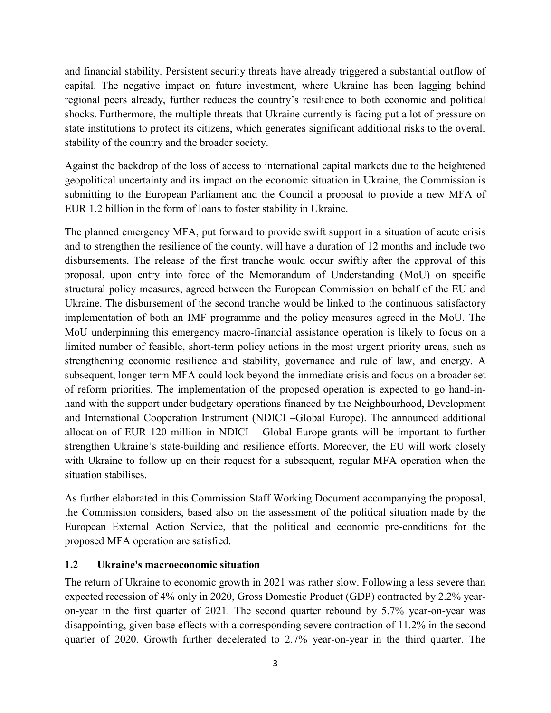and financial stability. Persistent security threats have already triggered a substantial outflow of capital. The negative impact on future investment, where Ukraine has been lagging behind regional peers already, further reduces the country's resilience to both economic and political shocks. Furthermore, the multiple threats that Ukraine currently is facing put a lot of pressure on state institutions to protect its citizens, which generates significant additional risks to the overall stability of the country and the broader society.

Against the backdrop of the loss of access to international capital markets due to the heightened geopolitical uncertainty and its impact on the economic situation in Ukraine, the Commission is submitting to the European Parliament and the Council a proposal to provide a new MFA of EUR 1.2 billion in the form of loans to foster stability in Ukraine.

The planned emergency MFA, put forward to provide swift support in a situation of acute crisis and to strengthen the resilience of the county, will have a duration of 12 months and include two disbursements. The release of the first tranche would occur swiftly after the approval of this proposal, upon entry into force of the Memorandum of Understanding (MoU) on specific structural policy measures, agreed between the European Commission on behalf of the EU and Ukraine. The disbursement of the second tranche would be linked to the continuous satisfactory implementation of both an IMF programme and the policy measures agreed in the MoU. The MoU underpinning this emergency macro-financial assistance operation is likely to focus on a limited number of feasible, short-term policy actions in the most urgent priority areas, such as strengthening economic resilience and stability, governance and rule of law, and energy. A subsequent, longer-term MFA could look beyond the immediate crisis and focus on a broader set of reform priorities. The implementation of the proposed operation is expected to go hand-inhand with the support under budgetary operations financed by the Neighbourhood, Development and International Cooperation Instrument (NDICI –Global Europe). The announced additional allocation of EUR 120 million in NDICI – Global Europe grants will be important to further strengthen Ukraine's state-building and resilience efforts. Moreover, the EU will work closely with Ukraine to follow up on their request for a subsequent, regular MFA operation when the situation stabilises.

As further elaborated in this Commission Staff Working Document accompanying the proposal, the Commission considers, based also on the assessment of the political situation made by the European External Action Service, that the political and economic pre-conditions for the proposed MFA operation are satisfied.

#### <span id="page-4-0"></span>**1.2 Ukraine's macroeconomic situation**

The return of Ukraine to economic growth in 2021 was rather slow. Following a less severe than expected recession of 4% only in 2020, Gross Domestic Product (GDP) contracted by 2.2% yearon-year in the first quarter of 2021. The second quarter rebound by 5.7% year-on-year was disappointing, given base effects with a corresponding severe contraction of 11.2% in the second quarter of 2020. Growth further decelerated to 2.7% year-on-year in the third quarter. The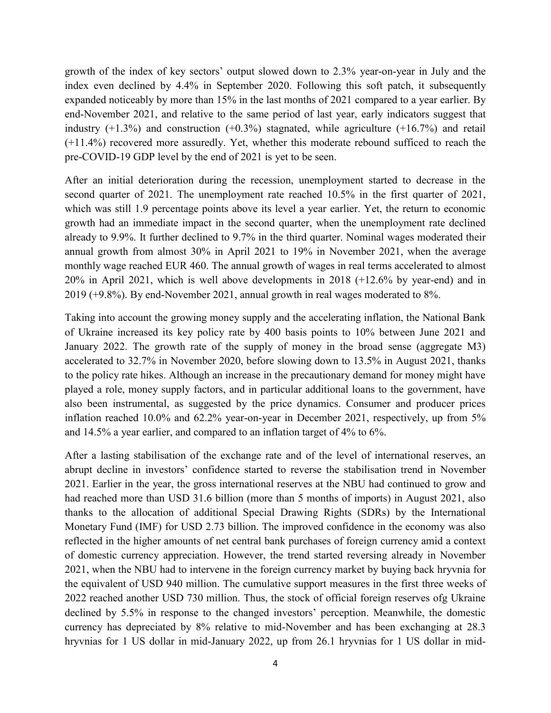growth of the index of key sectors' output slowed down to 2.3% year-on-year in July and the index even declined by 4.4% in September 2020. Following this soft patch, it subsequently expanded noticeably by more than 15% in the last months of 2021 compared to a year earlier. By end-November 2021, and relative to the same period of last year, early indicators suggest that industry  $(+1.3\%)$  and construction  $(+0.3\%)$  stagnated, while agriculture  $(+16.7\%)$  and retail (+11.4%) recovered more assuredly. Yet, whether this moderate rebound sufficed to reach the pre-COVID-19 GDP level by the end of 2021 is yet to be seen.

After an initial deterioration during the recession, unemployment started to decrease in the second quarter of 2021. The unemployment rate reached 10.5% in the first quarter of 2021, which was still 1.9 percentage points above its level a year earlier. Yet, the return to economic growth had an immediate impact in the second quarter, when the unemployment rate declined already to 9.9%. It further declined to 9.7% in the third quarter. Nominal wages moderated their annual growth from almost 30% in April 2021 to 19% in November 2021, when the average monthly wage reached EUR 460. The annual growth of wages in real terms accelerated to almost 20% in April 2021, which is well above developments in 2018 (+12.6% by year-end) and in 2019 (+9.8%). By end-November 2021, annual growth in real wages moderated to 8%.

Taking into account the growing money supply and the accelerating inflation, the National Bank of Ukraine increased its key policy rate by 400 basis points to 10% between June 2021 and January 2022. The growth rate of the supply of money in the broad sense (aggregate M3) accelerated to 32.7% in November 2020, before slowing down to 13.5% in August 2021, thanks to the policy rate hikes. Although an increase in the precautionary demand for money might have played a role, money supply factors, and in particular additional loans to the government, have also been instrumental, as suggested by the price dynamics. Consumer and producer prices inflation reached 10.0% and 62.2% year-on-year in December 2021, respectively, up from 5% and 14.5% a year earlier, and compared to an inflation target of 4% to 6%.

After a lasting stabilisation of the exchange rate and of the level of international reserves, an abrupt decline in investors' confidence started to reverse the stabilisation trend in November 2021. Earlier in the year, the gross international reserves at the NBU had continued to grow and had reached more than USD 31.6 billion (more than 5 months of imports) in August 2021, also thanks to the allocation of additional Special Drawing Rights (SDRs) by the International Monetary Fund (IMF) for USD 2.73 billion. The improved confidence in the economy was also reflected in the higher amounts of net central bank purchases of foreign currency amid a context of domestic currency appreciation. However, the trend started reversing already in November 2021, when the NBU had to intervene in the foreign currency market by buying back hryvnia for the equivalent of USD 940 million. The cumulative support measures in the first three weeks of 2022 reached another USD 730 million. Thus, the stock of official foreign reserves ofg Ukraine declined by 5.5% in response to the changed investors' perception. Meanwhile, the domestic currency has depreciated by 8% relative to mid-November and has been exchanging at 28.3 hryvnias for 1 US dollar in mid-January 2022, up from 26.1 hryvnias for 1 US dollar in mid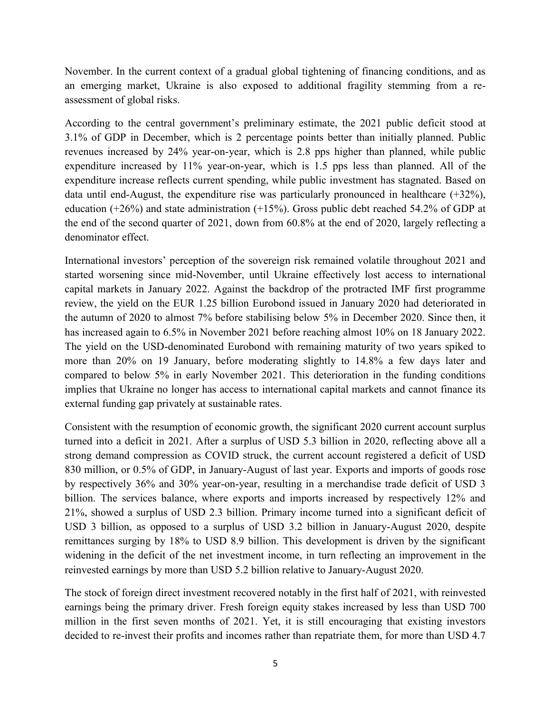November. In the current context of a gradual global tightening of financing conditions, and as an emerging market, Ukraine is also exposed to additional fragility stemming from a reassessment of global risks.

According to the central government's preliminary estimate, the 2021 public deficit stood at 3.1% of GDP in December, which is 2 percentage points better than initially planned. Public revenues increased by 24% year-on-year, which is 2.8 pps higher than planned, while public expenditure increased by 11% year-on-year, which is 1.5 pps less than planned. All of the expenditure increase reflects current spending, while public investment has stagnated. Based on data until end-August, the expenditure rise was particularly pronounced in healthcare (+32%), education (+26%) and state administration (+15%). Gross public debt reached 54.2% of GDP at the end of the second quarter of 2021, down from 60.8% at the end of 2020, largely reflecting a denominator effect.

International investors' perception of the sovereign risk remained volatile throughout 2021 and started worsening since mid-November, until Ukraine effectively lost access to international capital markets in January 2022. Against the backdrop of the protracted IMF first programme review, the yield on the EUR 1.25 billion Eurobond issued in January 2020 had deteriorated in the autumn of 2020 to almost 7% before stabilising below 5% in December 2020. Since then, it has increased again to 6.5% in November 2021 before reaching almost 10% on 18 January 2022. The yield on the USD-denominated Eurobond with remaining maturity of two years spiked to more than 20% on 19 January, before moderating slightly to 14.8% a few days later and compared to below 5% in early November 2021. This deterioration in the funding conditions implies that Ukraine no longer has access to international capital markets and cannot finance its external funding gap privately at sustainable rates.

Consistent with the resumption of economic growth, the significant 2020 current account surplus turned into a deficit in 2021. After a surplus of USD 5.3 billion in 2020, reflecting above all a strong demand compression as COVID struck, the current account registered a deficit of USD 830 million, or 0.5% of GDP, in January-August of last year. Exports and imports of goods rose by respectively 36% and 30% year-on-year, resulting in a merchandise trade deficit of USD 3 billion. The services balance, where exports and imports increased by respectively 12% and 21%, showed a surplus of USD 2.3 billion. Primary income turned into a significant deficit of USD 3 billion, as opposed to a surplus of USD 3.2 billion in January-August 2020, despite remittances surging by 18% to USD 8.9 billion. This development is driven by the significant widening in the deficit of the net investment income, in turn reflecting an improvement in the reinvested earnings by more than USD 5.2 billion relative to January-August 2020.

The stock of foreign direct investment recovered notably in the first half of 2021, with reinvested earnings being the primary driver. Fresh foreign equity stakes increased by less than USD 700 million in the first seven months of 2021. Yet, it is still encouraging that existing investors decided to re-invest their profits and incomes rather than repatriate them, for more than USD 4.7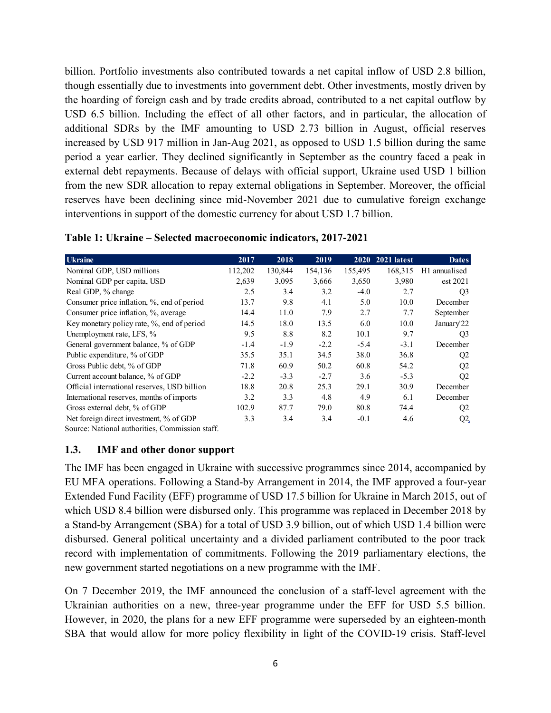billion. Portfolio investments also contributed towards a net capital inflow of USD 2.8 billion, though essentially due to investments into government debt. Other investments, mostly driven by the hoarding of foreign cash and by trade credits abroad, contributed to a net capital outflow by USD 6.5 billion. Including the effect of all other factors, and in particular, the allocation of additional SDRs by the IMF amounting to USD 2.73 billion in August, official reserves increased by USD 917 million in Jan-Aug 2021, as opposed to USD 1.5 billion during the same period a year earlier. They declined significantly in September as the country faced a peak in external debt repayments. Because of delays with official support, Ukraine used USD 1 billion from the new SDR allocation to repay external obligations in September. Moreover, the official reserves have been declining since mid-November 2021 due to cumulative foreign exchange interventions in support of the domestic currency for about USD 1.7 billion.

| <b>Ukraine</b>                                  | 2017    | 2018    | 2019    | <b>2020</b> | 2021 latest | <b>Dates</b>   |
|-------------------------------------------------|---------|---------|---------|-------------|-------------|----------------|
| Nominal GDP, USD millions                       | 112,202 | 130,844 | 154,136 | 155,495     | 168,315     | H1 annualised  |
| Nominal GDP per capita, USD                     | 2,639   | 3,095   | 3,666   | 3,650       | 3,980       | est 2021       |
| Real GDP, % change                              | 2.5     | 3.4     | 3.2     | $-4.0$      | 2.7         | Q <sub>3</sub> |
| Consumer price inflation, %, end of period      | 13.7    | 9.8     | 4.1     | 5.0         | 10.0        | December       |
| Consumer price inflation, %, average            | 14.4    | 11.0    | 7.9     | 2.7         | 7.7         | September      |
| Key monetary policy rate, %, end of period      | 14.5    | 18.0    | 13.5    | 6.0         | 10.0        | January'22     |
| Unemployment rate, LFS, %                       | 9.5     | 8.8     | 8.2     | 10.1        | 9.7         | Q <sub>3</sub> |
| General government balance, % of GDP            | $-1.4$  | $-1.9$  | $-2.2$  | $-5.4$      | $-3.1$      | December       |
| Public expenditure, % of GDP                    | 35.5    | 35.1    | 34.5    | 38.0        | 36.8        | Q <sub>2</sub> |
| Gross Public debt, % of GDP                     | 71.8    | 60.9    | 50.2    | 60.8        | 54.2        | Q <sub>2</sub> |
| Current account balance, % of GDP               | $-2.2$  | $-3.3$  | $-2.7$  | 3.6         | $-5.3$      | Q <sub>2</sub> |
| Official international reserves, USD billion    | 18.8    | 20.8    | 25.3    | 29.1        | 30.9        | December       |
| International reserves, months of imports       | 3.2     | 3.3     | 4.8     | 4.9         | 6.1         | December       |
| Gross external debt, % of GDP                   | 102.9   | 87.7    | 79.0    | 80.8        | 74.4        | Q <sub>2</sub> |
| Net foreign direct investment, % of GDP         | 3.3     | 3.4     | 3.4     | $-0.1$      | 4.6         | $Q^2$          |
| Source: National authorities, Commission staff. |         |         |         |             |             |                |

| Table 1: Ukraine – Selected macroeconomic indicators, 2017-2021 |  |  |  |  |
|-----------------------------------------------------------------|--|--|--|--|
|-----------------------------------------------------------------|--|--|--|--|

#### <span id="page-7-0"></span>**1.3. IMF and other donor support**

The IMF has been engaged in Ukraine with successive programmes since 2014, accompanied by EU MFA operations. Following a Stand-by Arrangement in 2014, the IMF approved a four-year Extended Fund Facility (EFF) programme of USD 17.5 billion for Ukraine in March 2015, out of which USD 8.4 billion were disbursed only. This programme was replaced in December 2018 by a Stand-by Arrangement (SBA) for a total of USD 3.9 billion, out of which USD 1.4 billion were disbursed. General political uncertainty and a divided parliament contributed to the poor track record with implementation of commitments. Following the 2019 parliamentary elections, the new government started negotiations on a new programme with the IMF.

On 7 December 2019, the IMF announced the conclusion of a staff-level agreement with the Ukrainian authorities on a new, three-year programme under the EFF for USD 5.5 billion. However, in 2020, the plans for a new EFF programme were superseded by an eighteen-month SBA that would allow for more policy flexibility in light of the COVID-19 crisis. Staff-level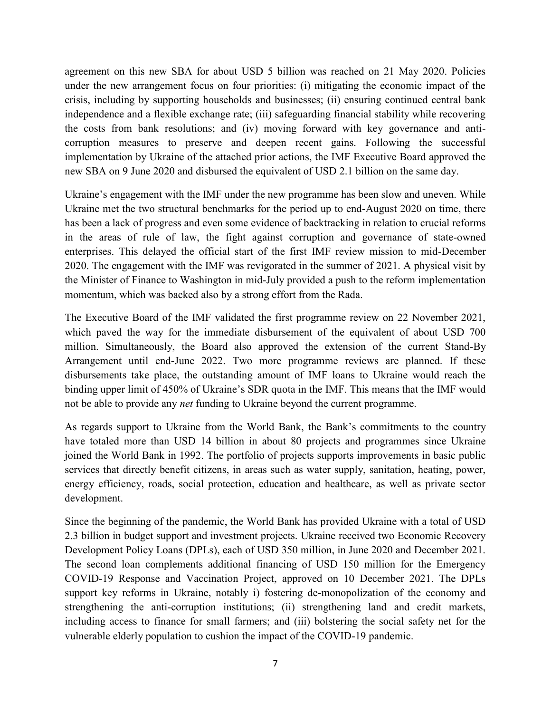agreement on this new SBA for about USD 5 billion was reached on 21 May 2020. Policies under the new arrangement focus on four priorities: (i) mitigating the economic impact of the crisis, including by supporting households and businesses; (ii) ensuring continued central bank independence and a flexible exchange rate; (iii) safeguarding financial stability while recovering the costs from bank resolutions; and (iv) moving forward with key governance and anticorruption measures to preserve and deepen recent gains. Following the successful implementation by Ukraine of the attached prior actions, the IMF Executive Board approved the new SBA on 9 June 2020 and disbursed the equivalent of USD 2.1 billion on the same day.

Ukraine's engagement with the IMF under the new programme has been slow and uneven. While Ukraine met the two structural benchmarks for the period up to end-August 2020 on time, there has been a lack of progress and even some evidence of backtracking in relation to crucial reforms in the areas of rule of law, the fight against corruption and governance of state-owned enterprises. This delayed the official start of the first IMF review mission to mid-December 2020. The engagement with the IMF was revigorated in the summer of 2021. A physical visit by the Minister of Finance to Washington in mid-July provided a push to the reform implementation momentum, which was backed also by a strong effort from the Rada.

The Executive Board of the IMF validated the first programme review on 22 November 2021, which paved the way for the immediate disbursement of the equivalent of about USD 700 million. Simultaneously, the Board also approved the extension of the current Stand-By Arrangement until end-June 2022. Two more programme reviews are planned. If these disbursements take place, the outstanding amount of IMF loans to Ukraine would reach the binding upper limit of 450% of Ukraine's SDR quota in the IMF. This means that the IMF would not be able to provide any *net* funding to Ukraine beyond the current programme.

As regards support to Ukraine from the World Bank, the Bank's commitments to the country have totaled more than USD 14 billion in about 80 projects and programmes since Ukraine joined the World Bank in 1992. The portfolio of projects supports improvements in basic public services that directly benefit citizens, in areas such as water supply, sanitation, heating, power, energy efficiency, roads, social protection, education and healthcare, as well as private sector development.

Since the beginning of the pandemic, the World Bank has provided Ukraine with a total of USD 2.3 billion in budget support and investment projects. Ukraine received two Economic Recovery Development Policy Loans (DPLs), each of USD 350 million, in June 2020 and December 2021. The second loan complements additional financing of USD 150 million for the Emergency COVID-19 Response and Vaccination Project, approved on 10 December 2021. The DPLs support key reforms in Ukraine, notably i) fostering de-monopolization of the economy and strengthening the anti-corruption institutions; (ii) strengthening land and credit markets, including access to finance for small farmers; and (iii) bolstering the social safety net for the vulnerable elderly population to cushion the impact of the COVID-19 pandemic.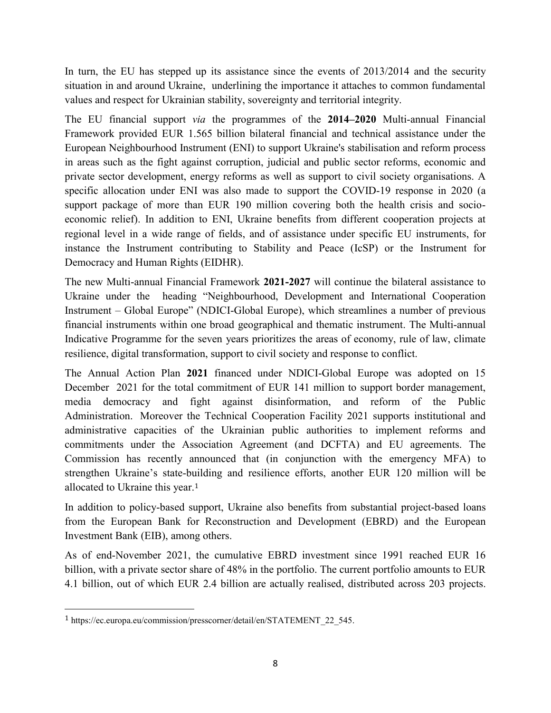In turn, the EU has stepped up its assistance since the events of 2013/2014 and the security situation in and around Ukraine, underlining the importance it attaches to common fundamental values and respect for Ukrainian stability, sovereignty and territorial integrity.

The EU financial support *via* the programmes of the **2014–2020** Multi-annual Financial Framework provided EUR 1.565 billion bilateral financial and technical assistance under the European Neighbourhood Instrument (ENI) to support Ukraine's stabilisation and reform process in areas such as the fight against corruption, judicial and public sector reforms, economic and private sector development, energy reforms as well as support to civil society organisations. A specific allocation under ENI was also made to support the COVID-19 response in 2020 (a support package of more than EUR 190 million covering both the health crisis and socioeconomic relief). In addition to ENI, Ukraine benefits from different cooperation projects at regional level in a wide range of fields, and of assistance under specific EU instruments, for instance the Instrument contributing to Stability and Peace (IcSP) or the Instrument for Democracy and Human Rights (EIDHR).

The new Multi-annual Financial Framework **2021-2027** will continue the bilateral assistance to Ukraine under the heading "Neighbourhood, Development and International Cooperation Instrument – Global Europe" (NDICI-Global Europe), which streamlines a number of previous financial instruments within one broad geographical and thematic instrument. The Multi-annual Indicative Programme for the seven years prioritizes the areas of economy, rule of law, climate resilience, digital transformation, support to civil society and response to conflict.

The Annual Action Plan **2021** financed under NDICI-Global Europe was adopted on 15 December 2021 for the total commitment of EUR 141 million to support border management, media democracy and fight against disinformation, and reform of the Public Administration. Moreover the Technical Cooperation Facility 2021 supports institutional and administrative capacities of the Ukrainian public authorities to implement reforms and commitments under the Association Agreement (and DCFTA) and EU agreements. The Commission has recently announced that (in conjunction with the emergency MFA) to strengthen Ukraine's state-building and resilience efforts, another EUR 120 million will be allocated to Ukraine this year.<sup>1</sup>

In addition to policy-based support, Ukraine also benefits from substantial project-based loans from the European Bank for Reconstruction and Development (EBRD) and the European Investment Bank (EIB), among others.

As of end-November 2021, the cumulative EBRD investment since 1991 reached EUR 16 billion, with a private sector share of 48% in the portfolio. The current portfolio amounts to EUR 4.1 billion, out of which EUR 2.4 billion are actually realised, distributed across 203 projects.

 $\overline{\phantom{a}}$ 

<sup>1</sup> https://ec.europa.eu/commission/presscorner/detail/en/STATEMENT\_22\_545.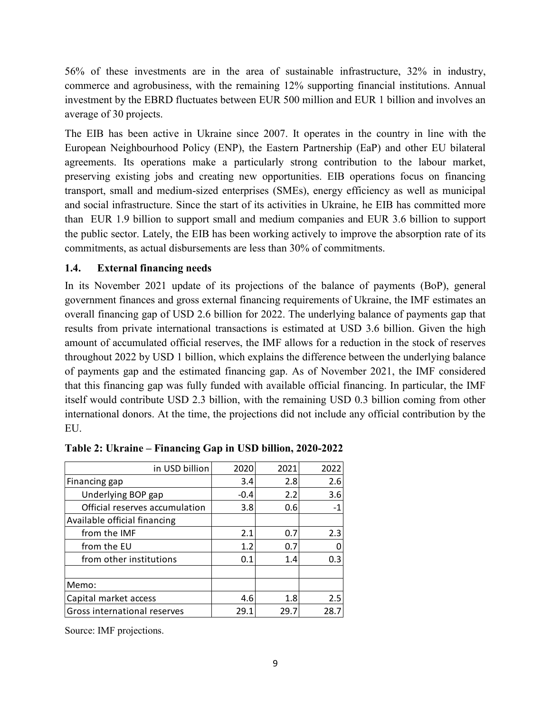56% of these investments are in the area of sustainable infrastructure, 32% in industry, commerce and agrobusiness, with the remaining 12% supporting financial institutions. Annual investment by the EBRD fluctuates between EUR 500 million and EUR 1 billion and involves an average of 30 projects.

<span id="page-10-0"></span>The EIB has been active in Ukraine since 2007. It operates in the country in line with the European Neighbourhood Policy (ENP), the Eastern Partnership (EaP) and other EU bilateral agreements. Its operations make a particularly strong contribution to the labour market, preserving existing jobs and creating new opportunities. EIB operations focus on financing transport, small and medium-sized enterprises (SMEs), energy efficiency as well as municipal and social infrastructure. Since the start of its activities in Ukraine, he EIB has committed more than EUR 1.9 billion to support small and medium companies and EUR 3.6 billion to support the public sector. Lately, the EIB has been working actively to improve the absorption rate of its commitments, as actual disbursements are less than 30% of commitments.

## **1.4. External financing needs**

In its November 2021 update of its projections of the balance of payments (BoP), general government finances and gross external financing requirements of Ukraine, the IMF estimates an overall financing gap of USD 2.6 billion for 2022. The underlying balance of payments gap that results from private international transactions is estimated at USD 3.6 billion. Given the high amount of accumulated official reserves, the IMF allows for a reduction in the stock of reserves throughout 2022 by USD 1 billion, which explains the difference between the underlying balance of payments gap and the estimated financing gap. As of November 2021, the IMF considered that this financing gap was fully funded with available official financing. In particular, the IMF itself would contribute USD 2.3 billion, with the remaining USD 0.3 billion coming from other international donors. At the time, the projections did not include any official contribution by the EU.

| in USD billion                 | 2020   | 2021 | 2022 |
|--------------------------------|--------|------|------|
| Financing gap                  | 3.4    | 2.8  | 2.6  |
| Underlying BOP gap             | $-0.4$ | 2.2  | 3.6  |
| Official reserves accumulation | 3.8    | 0.6  | $-1$ |
| Available official financing   |        |      |      |
| from the IMF                   | 2.1    | 0.7  | 2.3  |
| from the EU                    | 1.2    | 0.7  | 0    |
| from other institutions        | 0.1    | 1.4  | 0.3  |
|                                |        |      |      |
| Memo:                          |        |      |      |
| Capital market access          | 4.6    | 1.8  | 2.5  |
| Gross international reserves   | 29.1   | 29.7 | 28.7 |

| Table 2: Ukraine – Financing Gap in USD billion, 2020-2022 |  |  |  |  |  |  |
|------------------------------------------------------------|--|--|--|--|--|--|
|------------------------------------------------------------|--|--|--|--|--|--|

Source: IMF projections.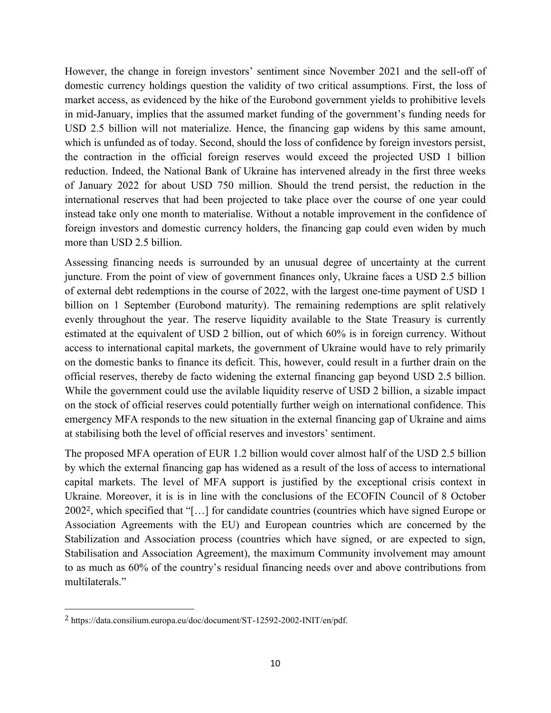However, the change in foreign investors' sentiment since November 2021 and the sell-off of domestic currency holdings question the validity of two critical assumptions. First, the loss of market access, as evidenced by the hike of the Eurobond government yields to prohibitive levels in mid-January, implies that the assumed market funding of the government's funding needs for USD 2.5 billion will not materialize. Hence, the financing gap widens by this same amount, which is unfunded as of today. Second, should the loss of confidence by foreign investors persist, the contraction in the official foreign reserves would exceed the projected USD 1 billion reduction. Indeed, the National Bank of Ukraine has intervened already in the first three weeks of January 2022 for about USD 750 million. Should the trend persist, the reduction in the international reserves that had been projected to take place over the course of one year could instead take only one month to materialise. Without a notable improvement in the confidence of foreign investors and domestic currency holders, the financing gap could even widen by much more than USD 2.5 billion.

Assessing financing needs is surrounded by an unusual degree of uncertainty at the current juncture. From the point of view of government finances only, Ukraine faces a USD 2.5 billion of external debt redemptions in the course of 2022, with the largest one-time payment of USD 1 billion on 1 September (Eurobond maturity). The remaining redemptions are split relatively evenly throughout the year. The reserve liquidity available to the State Treasury is currently estimated at the equivalent of USD 2 billion, out of which 60% is in foreign currency. Without access to international capital markets, the government of Ukraine would have to rely primarily on the domestic banks to finance its deficit. This, however, could result in a further drain on the official reserves, thereby de facto widening the external financing gap beyond USD 2.5 billion. While the government could use the avilable liquidity reserve of USD 2 billion, a sizable impact on the stock of official reserves could potentially further weigh on international confidence. This emergency MFA responds to the new situation in the external financing gap of Ukraine and aims at stabilising both the level of official reserves and investors' sentiment.

The proposed MFA operation of EUR 1.2 billion would cover almost half of the USD 2.5 billion by which the external financing gap has widened as a result of the loss of access to international capital markets. The level of MFA support is justified by the exceptional crisis context in Ukraine. Moreover, it is is in line with the conclusions of the ECOFIN Council of 8 October 20022, which specified that "[…] for candidate countries (countries which have signed Europe or Association Agreements with the EU) and European countries which are concerned by the Stabilization and Association process (countries which have signed, or are expected to sign, Stabilisation and Association Agreement), the maximum Community involvement may amount to as much as 60% of the country's residual financing needs over and above contributions from multilaterals."

 $\overline{\phantom{a}}$ 

<sup>2</sup> https://data.consilium.europa.eu/doc/document/ST-12592-2002-INIT/en/pdf.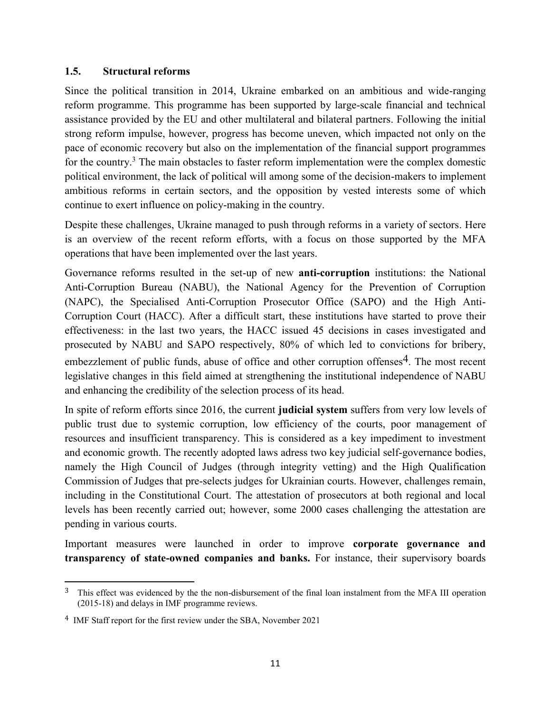#### **1.5. Structural reforms**

Since the political transition in 2014, Ukraine embarked on an ambitious and wide-ranging reform programme. This programme has been supported by large-scale financial and technical assistance provided by the EU and other multilateral and bilateral partners. Following the initial strong reform impulse, however, progress has become uneven, which impacted not only on the pace of economic recovery but also on the implementation of the financial support programmes for the country.<sup>3</sup> The main obstacles to faster reform implementation were the complex domestic political environment, the lack of political will among some of the decision-makers to implement ambitious reforms in certain sectors, and the opposition by vested interests some of which continue to exert influence on policy-making in the country.

Despite these challenges, Ukraine managed to push through reforms in a variety of sectors. Here is an overview of the recent reform efforts, with a focus on those supported by the MFA operations that have been implemented over the last years.

Governance reforms resulted in the set-up of new **anti-corruption** institutions: the National Anti-Corruption Bureau (NABU), the National Agency for the Prevention of Corruption (NAPC), the Specialised Anti-Corruption Prosecutor Office (SAPO) and the High Anti-Corruption Court (HACC). After a difficult start, these institutions have started to prove their effectiveness: in the last two years, the HACC issued 45 decisions in cases investigated and prosecuted by NABU and SAPO respectively, 80% of which led to convictions for bribery, embezzlement of public funds, abuse of office and other corruption offenses<sup>4</sup>. The most recent legislative changes in this field aimed at strengthening the institutional independence of NABU and enhancing the credibility of the selection process of its head.

In spite of reform efforts since 2016, the current **judicial system** suffers from very low levels of public trust due to systemic corruption, low efficiency of the courts, poor management of resources and insufficient transparency. This is considered as a key impediment to investment and economic growth. The recently adopted laws adress two key judicial self-governance bodies, namely the High Council of Judges (through integrity vetting) and the High Qualification Commission of Judges that pre-selects judges for Ukrainian courts. However, challenges remain, including in the Constitutional Court. The attestation of prosecutors at both regional and local levels has been recently carried out; however, some 2000 cases challenging the attestation are pending in various courts.

Important measures were launched in order to improve **corporate governance and transparency of state-owned companies and banks.** For instance, their supervisory boards

 $\overline{\phantom{a}}$ 

<sup>&</sup>lt;sup>3</sup> This effect was evidenced by the the non-disbursement of the final loan instalment from the MFA III operation (2015-18) and delays in IMF programme reviews.

<sup>4</sup> IMF Staff report for the first review under the SBA, November 2021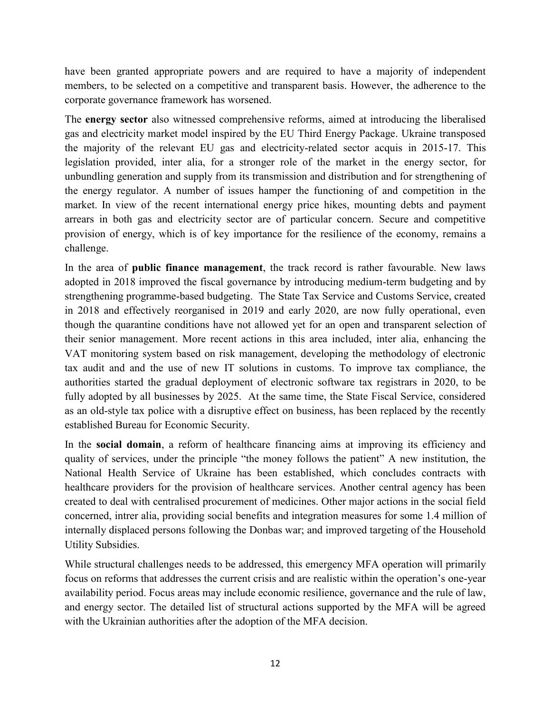have been granted appropriate powers and are required to have a majority of independent members, to be selected on a competitive and transparent basis. However, the adherence to the corporate governance framework has worsened.

The **energy sector** also witnessed comprehensive reforms, aimed at introducing the liberalised gas and electricity market model inspired by the EU Third Energy Package. Ukraine transposed the majority of the relevant EU gas and electricity-related sector acquis in 2015-17. This legislation provided, inter alia, for a stronger role of the market in the energy sector, for unbundling generation and supply from its transmission and distribution and for strengthening of the energy regulator. A number of issues hamper the functioning of and competition in the market. In view of the recent international energy price hikes, mounting debts and payment arrears in both gas and electricity sector are of particular concern. Secure and competitive provision of energy, which is of key importance for the resilience of the economy, remains a challenge.

In the area of **public finance management**, the track record is rather favourable. New laws adopted in 2018 improved the fiscal governance by introducing medium-term budgeting and by strengthening programme-based budgeting. The State Tax Service and Customs Service, created in 2018 and effectively reorganised in 2019 and early 2020, are now fully operational, even though the quarantine conditions have not allowed yet for an open and transparent selection of their senior management. More recent actions in this area included, inter alia, enhancing the VAT monitoring system based on risk management, developing the methodology of electronic tax audit and and the use of new IT solutions in customs. To improve tax compliance, the authorities started the gradual deployment of electronic software tax registrars in 2020, to be fully adopted by all businesses by 2025. At the same time, the State Fiscal Service, considered as an old-style tax police with a disruptive effect on business, has been replaced by the recently established Bureau for Economic Security.

In the **social domain**, a reform of healthcare financing aims at improving its efficiency and quality of services, under the principle "the money follows the patient" A new institution, the National Health Service of Ukraine has been established, which concludes contracts with healthcare providers for the provision of healthcare services. Another central agency has been created to deal with centralised procurement of medicines. Other major actions in the social field concerned, intrer alia, providing social benefits and integration measures for some 1.4 million of internally displaced persons following the Donbas war; and improved targeting of the Household Utility Subsidies.

While structural challenges needs to be addressed, this emergency MFA operation will primarily focus on reforms that addresses the current crisis and are realistic within the operation's one-year availability period. Focus areas may include economic resilience, governance and the rule of law, and energy sector. The detailed list of structural actions supported by the MFA will be agreed with the Ukrainian authorities after the adoption of the MFA decision.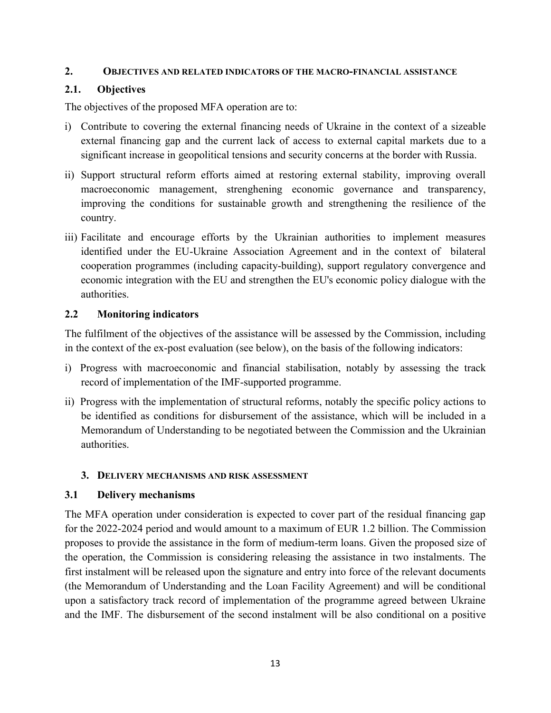#### **2. OBJECTIVES AND RELATED INDICATORS OF THE MACRO-FINANCIAL ASSISTANCE**

## <span id="page-14-0"></span>**2.1. Objectives**

The objectives of the proposed MFA operation are to:

- i) Contribute to covering the external financing needs of Ukraine in the context of a sizeable external financing gap and the current lack of access to external capital markets due to a significant increase in geopolitical tensions and security concerns at the border with Russia.
- ii) Support structural reform efforts aimed at restoring external stability, improving overall macroeconomic management, strenghening economic governance and transparency, improving the conditions for sustainable growth and strengthening the resilience of the country.
- iii) Facilitate and encourage efforts by the Ukrainian authorities to implement measures identified under the EU-Ukraine Association Agreement and in the context of bilateral cooperation programmes (including capacity-building), support regulatory convergence and economic integration with the EU and strengthen the EU's economic policy dialogue with the authorities.

## <span id="page-14-1"></span>**2.2 Monitoring indicators**

The fulfilment of the objectives of the assistance will be assessed by the Commission, including in the context of the ex-post evaluation (see below), on the basis of the following indicators:

- i) Progress with macroeconomic and financial stabilisation, notably by assessing the track record of implementation of the IMF-supported programme.
- ii) Progress with the implementation of structural reforms, notably the specific policy actions to be identified as conditions for disbursement of the assistance, which will be included in a Memorandum of Understanding to be negotiated between the Commission and the Ukrainian authorities.

#### **3. DELIVERY MECHANISMS AND RISK ASSESSMENT**

# <span id="page-14-2"></span>**3.1 Delivery mechanisms**

The MFA operation under consideration is expected to cover part of the residual financing gap for the 2022-2024 period and would amount to a maximum of EUR 1.2 billion. The Commission proposes to provide the assistance in the form of medium-term loans. Given the proposed size of the operation, the Commission is considering releasing the assistance in two instalments. The first instalment will be released upon the signature and entry into force of the relevant documents (the Memorandum of Understanding and the Loan Facility Agreement) and will be conditional upon a satisfactory track record of implementation of the programme agreed between Ukraine and the IMF. The disbursement of the second instalment will be also conditional on a positive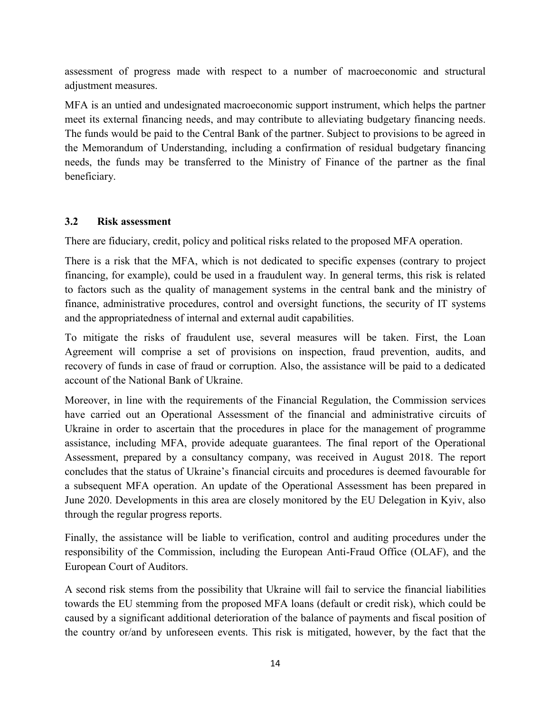assessment of progress made with respect to a number of macroeconomic and structural adjustment measures.

MFA is an untied and undesignated macroeconomic support instrument, which helps the partner meet its external financing needs, and may contribute to alleviating budgetary financing needs. The funds would be paid to the Central Bank of the partner. Subject to provisions to be agreed in the Memorandum of Understanding, including a confirmation of residual budgetary financing needs, the funds may be transferred to the Ministry of Finance of the partner as the final beneficiary.

## <span id="page-15-0"></span>**3.2 Risk assessment**

There are fiduciary, credit, policy and political risks related to the proposed MFA operation.

There is a risk that the MFA, which is not dedicated to specific expenses (contrary to project financing, for example), could be used in a fraudulent way. In general terms, this risk is related to factors such as the quality of management systems in the central bank and the ministry of finance, administrative procedures, control and oversight functions, the security of IT systems and the appropriatedness of internal and external audit capabilities.

To mitigate the risks of fraudulent use, several measures will be taken. First, the Loan Agreement will comprise a set of provisions on inspection, fraud prevention, audits, and recovery of funds in case of fraud or corruption. Also, the assistance will be paid to a dedicated account of the National Bank of Ukraine.

Moreover, in line with the requirements of the Financial Regulation, the Commission services have carried out an Operational Assessment of the financial and administrative circuits of Ukraine in order to ascertain that the procedures in place for the management of programme assistance, including MFA, provide adequate guarantees. The final report of the Operational Assessment, prepared by a consultancy company, was received in August 2018. The report concludes that the status of Ukraine's financial circuits and procedures is deemed favourable for a subsequent MFA operation. An update of the Operational Assessment has been prepared in June 2020. Developments in this area are closely monitored by the EU Delegation in Kyiv, also through the regular progress reports.

Finally, the assistance will be liable to verification, control and auditing procedures under the responsibility of the Commission, including the European Anti-Fraud Office (OLAF), and the European Court of Auditors.

A second risk stems from the possibility that Ukraine will fail to service the financial liabilities towards the EU stemming from the proposed MFA loans (default or credit risk), which could be caused by a significant additional deterioration of the balance of payments and fiscal position of the country or/and by unforeseen events. This risk is mitigated, however, by the fact that the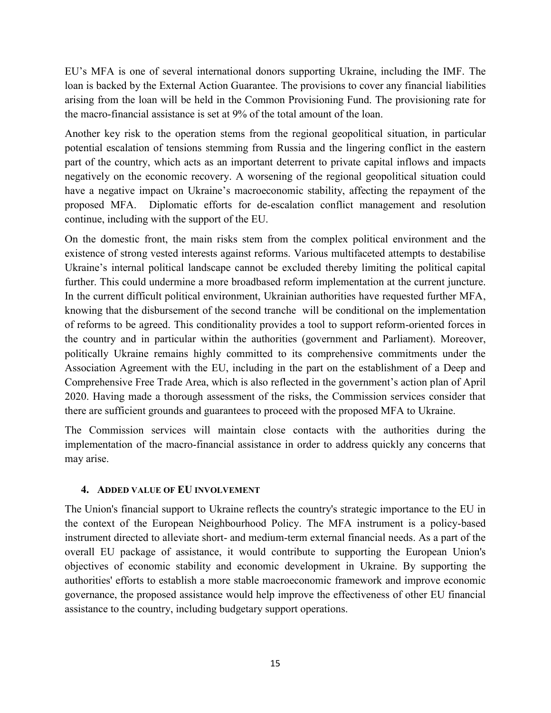EU's MFA is one of several international donors supporting Ukraine, including the IMF. The loan is backed by the External Action Guarantee. The provisions to cover any financial liabilities arising from the loan will be held in the Common Provisioning Fund. The provisioning rate for the macro-financial assistance is set at 9% of the total amount of the loan.

Another key risk to the operation stems from the regional geopolitical situation, in particular potential escalation of tensions stemming from Russia and the lingering conflict in the eastern part of the country, which acts as an important deterrent to private capital inflows and impacts negatively on the economic recovery. A worsening of the regional geopolitical situation could have a negative impact on Ukraine's macroeconomic stability, affecting the repayment of the proposed MFA. Diplomatic efforts for de-escalation conflict management and resolution continue, including with the support of the EU.

On the domestic front, the main risks stem from the complex political environment and the existence of strong vested interests against reforms. Various multifaceted attempts to destabilise Ukraine's internal political landscape cannot be excluded thereby limiting the political capital further. This could undermine a more broadbased reform implementation at the current juncture. In the current difficult political environment, Ukrainian authorities have requested further MFA, knowing that the disbursement of the second tranche will be conditional on the implementation of reforms to be agreed. This conditionality provides a tool to support reform-oriented forces in the country and in particular within the authorities (government and Parliament). Moreover, politically Ukraine remains highly committed to its comprehensive commitments under the Association Agreement with the EU, including in the part on the establishment of a Deep and Comprehensive Free Trade Area, which is also reflected in the government's action plan of April 2020. Having made a thorough assessment of the risks, the Commission services consider that there are sufficient grounds and guarantees to proceed with the proposed MFA to Ukraine.

The Commission services will maintain close contacts with the authorities during the implementation of the macro-financial assistance in order to address quickly any concerns that may arise.

#### **4. ADDED VALUE OF EU INVOLVEMENT**

The Union's financial support to Ukraine reflects the country's strategic importance to the EU in the context of the European Neighbourhood Policy. The MFA instrument is a policy-based instrument directed to alleviate short- and medium-term external financial needs. As a part of the overall EU package of assistance, it would contribute to supporting the European Union's objectives of economic stability and economic development in Ukraine. By supporting the authorities' efforts to establish a more stable macroeconomic framework and improve economic governance, the proposed assistance would help improve the effectiveness of other EU financial assistance to the country, including budgetary support operations.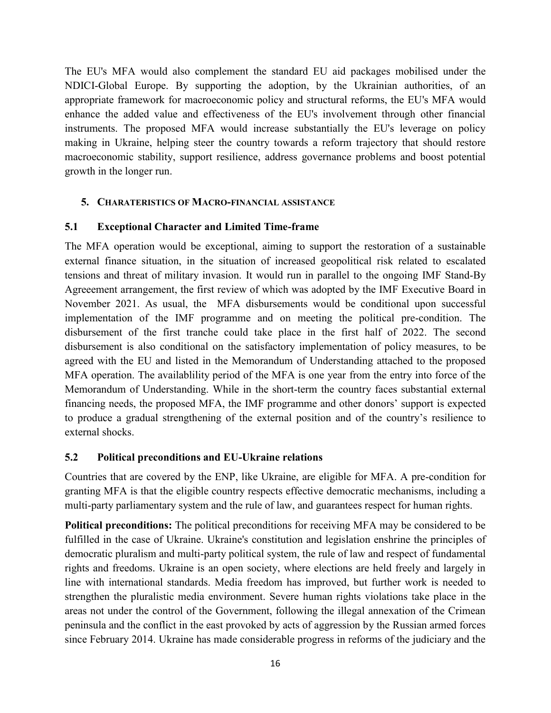The EU's MFA would also complement the standard EU aid packages mobilised under the NDICI-Global Europe. By supporting the adoption, by the Ukrainian authorities, of an appropriate framework for macroeconomic policy and structural reforms, the EU's MFA would enhance the added value and effectiveness of the EU's involvement through other financial instruments. The proposed MFA would increase substantially the EU's leverage on policy making in Ukraine, helping steer the country towards a reform trajectory that should restore macroeconomic stability, support resilience, address governance problems and boost potential growth in the longer run.

## **5. CHARATERISTICS OF MACRO-FINANCIAL ASSISTANCE**

## <span id="page-17-0"></span>**5.1 Exceptional Character and Limited Time-frame**

The MFA operation would be exceptional, aiming to support the restoration of a sustainable external finance situation, in the situation of increased geopolitical risk related to escalated tensions and threat of military invasion. It would run in parallel to the ongoing IMF Stand-By Agreeement arrangement, the first review of which was adopted by the IMF Executive Board in November 2021. As usual, the MFA disbursements would be conditional upon successful implementation of the IMF programme and on meeting the political pre-condition. The disbursement of the first tranche could take place in the first half of 2022. The second disbursement is also conditional on the satisfactory implementation of policy measures, to be agreed with the EU and listed in the Memorandum of Understanding attached to the proposed MFA operation. The availablility period of the MFA is one year from the entry into force of the Memorandum of Understanding. While in the short-term the country faces substantial external financing needs, the proposed MFA, the IMF programme and other donors' support is expected to produce a gradual strengthening of the external position and of the country's resilience to external shocks.

#### <span id="page-17-1"></span>**5.2 Political preconditions and EU-Ukraine relations**

Countries that are covered by the ENP, like Ukraine, are eligible for MFA. A pre-condition for granting MFA is that the eligible country respects effective democratic mechanisms, including a multi-party parliamentary system and the rule of law, and guarantees respect for human rights.

**Political preconditions:** The political preconditions for receiving MFA may be considered to be fulfilled in the case of Ukraine. Ukraine's constitution and legislation enshrine the principles of democratic pluralism and multi-party political system, the rule of law and respect of fundamental rights and freedoms. Ukraine is an open society, where elections are held freely and largely in line with international standards. Media freedom has improved, but further work is needed to strengthen the pluralistic media environment. Severe human rights violations take place in the areas not under the control of the Government, following the illegal annexation of the Crimean peninsula and the conflict in the east provoked by acts of aggression by the Russian armed forces since February 2014. Ukraine has made considerable progress in reforms of the judiciary and the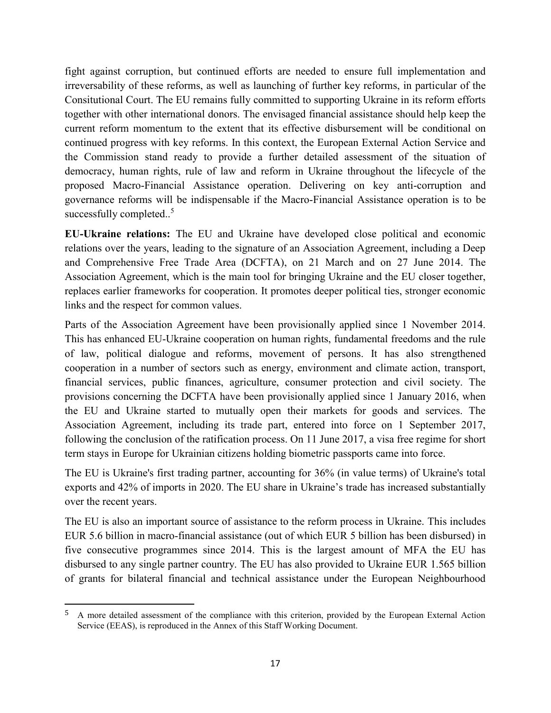fight against corruption, but continued efforts are needed to ensure full implementation and irreversability of these reforms, as well as launching of further key reforms, in particular of the Consitutional Court. The EU remains fully committed to supporting Ukraine in its reform efforts together with other international donors. The envisaged financial assistance should help keep the current reform momentum to the extent that its effective disbursement will be conditional on continued progress with key reforms. In this context, the European External Action Service and the Commission stand ready to provide a further detailed assessment of the situation of democracy, human rights, rule of law and reform in Ukraine throughout the lifecycle of the proposed Macro-Financial Assistance operation. Delivering on key anti-corruption and governance reforms will be indispensable if the Macro-Financial Assistance operation is to be successfully completed..<sup>5</sup>

**EU-Ukraine relations:** The EU and Ukraine have developed close political and economic relations over the years, leading to the signature of an Association Agreement, including a Deep and Comprehensive Free Trade Area (DCFTA), on 21 March and on 27 June 2014. The Association Agreement, which is the main tool for bringing Ukraine and the EU closer together, replaces earlier frameworks for cooperation. It promotes deeper political ties, stronger economic links and the respect for common values.

Parts of the Association Agreement have been provisionally applied since 1 November 2014. This has enhanced EU-Ukraine cooperation on human rights, fundamental freedoms and the rule of law, political dialogue and reforms, movement of persons. It has also strengthened cooperation in a number of sectors such as energy, environment and climate action, transport, financial services, public finances, agriculture, consumer protection and civil society. The provisions concerning the DCFTA have been provisionally applied since 1 January 2016, when the EU and Ukraine started to mutually open their markets for goods and services. The Association Agreement, including its trade part, entered into force on 1 September 2017, following the conclusion of the ratification process. On 11 June 2017, a visa free regime for short term stays in Europe for Ukrainian citizens holding biometric passports came into force.

The EU is Ukraine's first trading partner, accounting for 36% (in value terms) of Ukraine's total exports and 42% of imports in 2020. The EU share in Ukraine's trade has increased substantially over the recent years.

The EU is also an important source of assistance to the reform process in Ukraine. This includes EUR 5.6 billion in macro-financial assistance (out of which EUR 5 billion has been disbursed) in five consecutive programmes since 2014. This is the largest amount of MFA the EU has disbursed to any single partner country. The EU has also provided to Ukraine EUR 1.565 billion of grants for bilateral financial and technical assistance under the European Neighbourhood

 $\overline{a}$ 

<sup>5</sup> A more detailed assessment of the compliance with this criterion, provided by the European External Action Service (EEAS), is reproduced in the Annex of this Staff Working Document.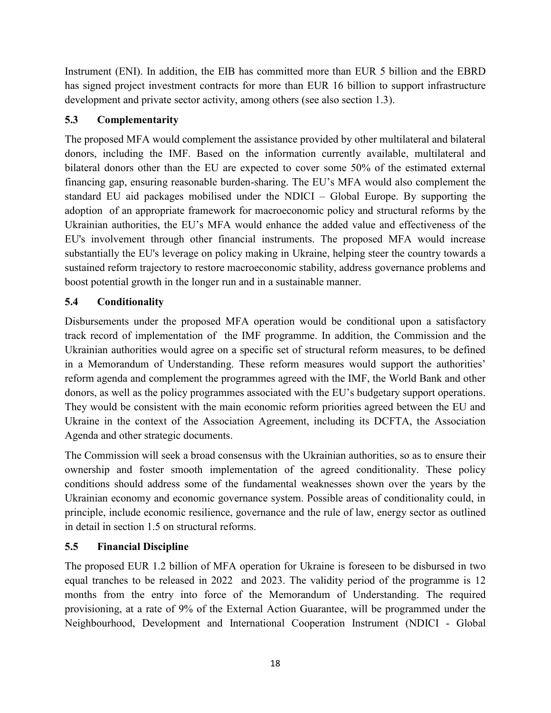Instrument (ENI). In addition, the EIB has committed more than EUR 5 billion and the EBRD has signed project investment contracts for more than EUR 16 billion to support infrastructure development and private sector activity, among others (see also section 1.3).

# <span id="page-19-0"></span>**5.3 Complementarity**

The proposed MFA would complement the assistance provided by other multilateral and bilateral donors, including the IMF. Based on the information currently available, multilateral and bilateral donors other than the EU are expected to cover some 50% of the estimated external financing gap, ensuring reasonable burden-sharing. The EU's MFA would also complement the standard EU aid packages mobilised under the NDICI – Global Europe. By supporting the adoption of an appropriate framework for macroeconomic policy and structural reforms by the Ukrainian authorities, the EU's MFA would enhance the added value and effectiveness of the EU's involvement through other financial instruments. The proposed MFA would increase substantially the EU's leverage on policy making in Ukraine, helping steer the country towards a sustained reform trajectory to restore macroeconomic stability, address governance problems and boost potential growth in the longer run and in a sustainable manner.

# <span id="page-19-1"></span>**5.4 Conditionality**

Disbursements under the proposed MFA operation would be conditional upon a satisfactory track record of implementation of the IMF programme. In addition, the Commission and the Ukrainian authorities would agree on a specific set of structural reform measures, to be defined in a Memorandum of Understanding. These reform measures would support the authorities' reform agenda and complement the programmes agreed with the IMF, the World Bank and other donors, as well as the policy programmes associated with the EU's budgetary support operations. They would be consistent with the main economic reform priorities agreed between the EU and Ukraine in the context of the Association Agreement, including its DCFTA, the Association Agenda and other strategic documents.

The Commission will seek a broad consensus with the Ukrainian authorities, so as to ensure their ownership and foster smooth implementation of the agreed conditionality. These policy conditions should address some of the fundamental weaknesses shown over the years by the Ukrainian economy and economic governance system. Possible areas of conditionality could, in principle, include economic resilience, governance and the rule of law, energy sector as outlined in detail in section 1.5 on structural reforms.

#### <span id="page-19-2"></span>**5.5 Financial Discipline**

The proposed EUR 1.2 billion of MFA operation for Ukraine is foreseen to be disbursed in two equal tranches to be released in 2022 and 2023. The validity period of the programme is 12 months from the entry into force of the Memorandum of Understanding. The required provisioning, at a rate of 9% of the External Action Guarantee, will be programmed under the Neighbourhood, Development and International Cooperation Instrument (NDICI - Global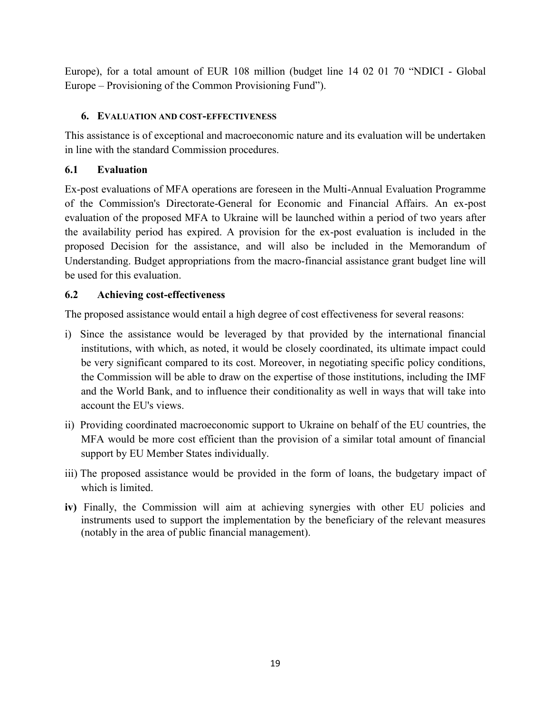Europe), for a total amount of EUR 108 million (budget line 14 02 01 70 "NDICI - Global Europe – Provisioning of the Common Provisioning Fund").

# **6. EVALUATION AND COST-EFFECTIVENESS**

This assistance is of exceptional and macroeconomic nature and its evaluation will be undertaken in line with the standard Commission procedures.

# <span id="page-20-0"></span>**6.1 Evaluation**

Ex-post evaluations of MFA operations are foreseen in the Multi-Annual Evaluation Programme of the Commission's Directorate-General for Economic and Financial Affairs. An ex-post evaluation of the proposed MFA to Ukraine will be launched within a period of two years after the availability period has expired. A provision for the ex-post evaluation is included in the proposed Decision for the assistance, and will also be included in the Memorandum of Understanding. Budget appropriations from the macro-financial assistance grant budget line will be used for this evaluation.

# <span id="page-20-1"></span>**6.2 Achieving cost-effectiveness**

The proposed assistance would entail a high degree of cost effectiveness for several reasons:

- i) Since the assistance would be leveraged by that provided by the international financial institutions, with which, as noted, it would be closely coordinated, its ultimate impact could be very significant compared to its cost. Moreover, in negotiating specific policy conditions, the Commission will be able to draw on the expertise of those institutions, including the IMF and the World Bank, and to influence their conditionality as well in ways that will take into account the EU's views.
- ii) Providing coordinated macroeconomic support to Ukraine on behalf of the EU countries, the MFA would be more cost efficient than the provision of a similar total amount of financial support by EU Member States individually.
- iii) The proposed assistance would be provided in the form of loans, the budgetary impact of which is limited.
- **iv)** Finally, the Commission will aim at achieving synergies with other EU policies and instruments used to support the implementation by the beneficiary of the relevant measures (notably in the area of public financial management).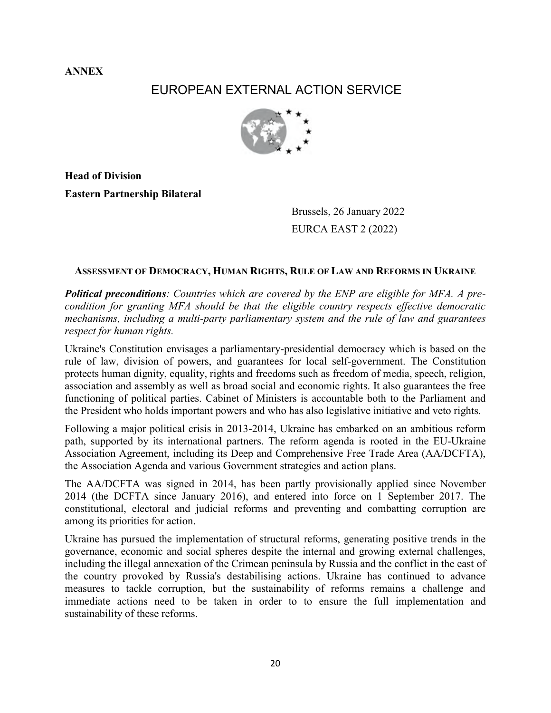**ANNEX**

# EUROPEAN EXTERNAL ACTION SERVICE



**Head of Division Eastern Partnership Bilateral** 

> Brussels, 26 January 2022 EURCA EAST 2 (2022)

#### **ASSESSMENT OF DEMOCRACY, HUMAN RIGHTS, RULE OF LAW AND REFORMS IN UKRAINE**

*Political preconditions: Countries which are covered by the ENP are eligible for MFA. A precondition for granting MFA should be that the eligible country respects effective democratic mechanisms, including a multi-party parliamentary system and the rule of law and guarantees respect for human rights.* 

Ukraine's Constitution envisages a parliamentary-presidential democracy which is based on the rule of law, division of powers, and guarantees for local self-government. The Constitution protects human dignity, equality, rights and freedoms such as freedom of media, speech, religion, association and assembly as well as broad social and economic rights. It also guarantees the free functioning of political parties. Cabinet of Ministers is accountable both to the Parliament and the President who holds important powers and who has also legislative initiative and veto rights.

Following a major political crisis in 2013-2014, Ukraine has embarked on an ambitious reform path, supported by its international partners. The reform agenda is rooted in the EU-Ukraine Association Agreement, including its Deep and Comprehensive Free Trade Area (AA/DCFTA), the Association Agenda and various Government strategies and action plans.

The AA/DCFTA was signed in 2014, has been partly provisionally applied since November 2014 (the DCFTA since January 2016), and entered into force on 1 September 2017. The constitutional, electoral and judicial reforms and preventing and combatting corruption are among its priorities for action.

Ukraine has pursued the implementation of structural reforms, generating positive trends in the governance, economic and social spheres despite the internal and growing external challenges, including the illegal annexation of the Crimean peninsula by Russia and the conflict in the east of the country provoked by Russia's destabilising actions. Ukraine has continued to advance measures to tackle corruption, but the sustainability of reforms remains a challenge and immediate actions need to be taken in order to to ensure the full implementation and sustainability of these reforms.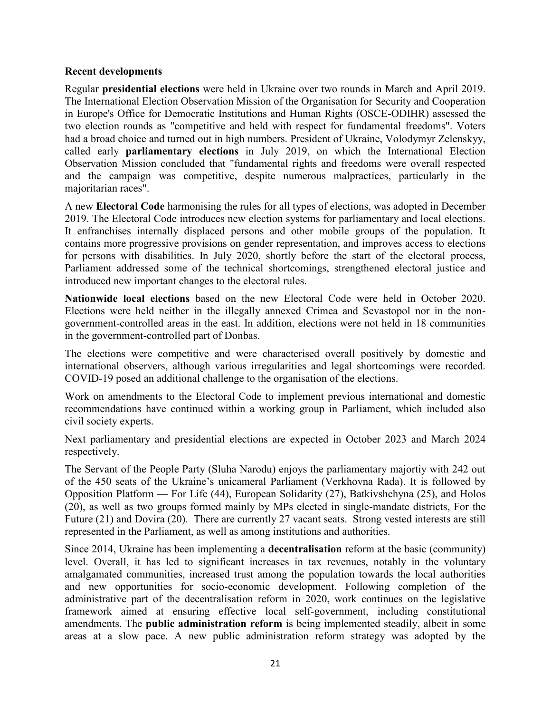#### **Recent developments**

Regular **presidential elections** were held in Ukraine over two rounds in March and April 2019. The International Election Observation Mission of the Organisation for Security and Cooperation in Europe's Office for Democratic Institutions and Human Rights (OSCE-ODIHR) assessed the two election rounds as "competitive and held with respect for fundamental freedoms". Voters had a broad choice and turned out in high numbers. President of Ukraine, Volodymyr Zelenskyy, called early **parliamentary elections** in July 2019, on which the International Election Observation Mission concluded that "fundamental rights and freedoms were overall respected and the campaign was competitive, despite numerous malpractices, particularly in the majoritarian races".

A new **Electoral Code** harmonising the rules for all types of elections, was adopted in December 2019. The Electoral Code introduces new election systems for parliamentary and local elections. It enfranchises internally displaced persons and other mobile groups of the population. It contains more progressive provisions on gender representation, and improves access to elections for persons with disabilities. In July 2020, shortly before the start of the electoral process, Parliament addressed some of the technical shortcomings, strengthened electoral justice and introduced new important changes to the electoral rules.

**Nationwide local elections** based on the new Electoral Code were held in October 2020. Elections were held neither in the illegally annexed Crimea and Sevastopol nor in the nongovernment-controlled areas in the east. In addition, elections were not held in 18 communities in the government-controlled part of Donbas.

The elections were competitive and were characterised overall positively by domestic and international observers, although various irregularities and legal shortcomings were recorded. COVID-19 posed an additional challenge to the organisation of the elections.

Work on amendments to the Electoral Code to implement previous international and domestic recommendations have continued within a working group in Parliament, which included also civil society experts.

Next parliamentary and presidential elections are expected in October 2023 and March 2024 respectively.

The Servant of the People Party (Sluha Narodu) enjoys the parliamentary majortiy with 242 out of the 450 seats of the Ukraine's unicameral Parliament (Verkhovna Rada). It is followed by Opposition Platform — For Life (44), European Solidarity (27), Batkivshchyna (25), and Holos (20), as well as two groups formed mainly by MPs elected in single-mandate districts, For the Future (21) and Dovira (20). There are currently 27 vacant seats. Strong vested interests are still represented in the Parliament, as well as among institutions and authorities.

Since 2014, Ukraine has been implementing a **decentralisation** reform at the basic (community) level. Overall, it has led to significant increases in tax revenues, notably in the voluntary amalgamated communities, increased trust among the population towards the local authorities and new opportunities for socio-economic development. Following completion of the administrative part of the decentralisation reform in 2020, work continues on the legislative framework aimed at ensuring effective local self-government, including constitutional amendments. The **public administration reform** is being implemented steadily, albeit in some areas at a slow pace. A new public administration reform strategy was adopted by the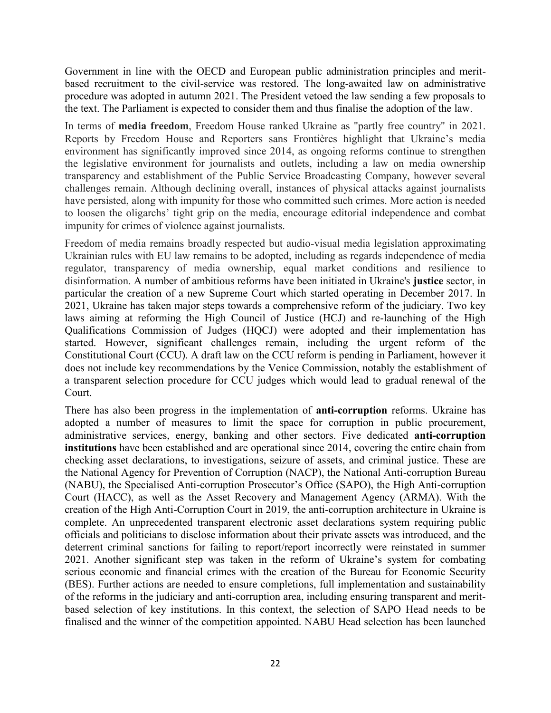Government in line with the OECD and European public administration principles and meritbased recruitment to the civil-service was restored. The long-awaited law on administrative procedure was adopted in autumn 2021. The President vetoed the law sending a few proposals to the text. The Parliament is expected to consider them and thus finalise the adoption of the law.

In terms of **media freedom**, Freedom House ranked Ukraine as "partly free country" in 2021. Reports by Freedom House and Reporters sans Frontières highlight that Ukraine's media environment has significantly improved since 2014, as ongoing reforms continue to strengthen the legislative environment for journalists and outlets, including a law on media ownership transparency and establishment of the Public Service Broadcasting Company, however several challenges remain. Although declining overall, instances of physical attacks against journalists have persisted, along with impunity for those who committed such crimes. More action is needed to loosen the oligarchs' tight grip on the media, encourage editorial independence and combat impunity for crimes of violence against journalists.

Freedom of media remains broadly respected but audio-visual media legislation approximating Ukrainian rules with EU law remains to be adopted, including as regards independence of media regulator, transparency of media ownership, equal market conditions and resilience to disinformation. A number of ambitious reforms have been initiated in Ukraine's **justice** sector, in particular the creation of a new Supreme Court which started operating in December 2017. In 2021, Ukraine has taken major steps towards a comprehensive reform of the judiciary. Two key laws aiming at reforming the High Council of Justice (HCJ) and re-launching of the High Qualifications Commission of Judges (HQCJ) were adopted and their implementation has started. However, significant challenges remain, including the urgent reform of the Constitutional Court (CCU). A draft law on the CCU reform is pending in Parliament, however it does not include key recommendations by the Venice Commission, notably the establishment of a transparent selection procedure for CCU judges which would lead to gradual renewal of the Court.

There has also been progress in the implementation of **anti-corruption** reforms. Ukraine has adopted a number of measures to limit the space for corruption in public procurement, administrative services, energy, banking and other sectors. Five dedicated **anti-corruption institutions** have been established and are operational since 2014, covering the entire chain from checking asset declarations, to investigations, seizure of assets, and criminal justice. These are the National Agency for Prevention of Corruption (NACP), the National Anti-corruption Bureau (NABU), the Specialised Anti-corruption Prosecutor's Office (SAPO), the High Anti-corruption Court (HACC), as well as the Asset Recovery and Management Agency (ARMA). With the creation of the High Anti-Corruption Court in 2019, the anti-corruption architecture in Ukraine is complete. An unprecedented transparent electronic asset declarations system requiring public officials and politicians to disclose information about their private assets was introduced, and the deterrent criminal sanctions for failing to report/report incorrectly were reinstated in summer 2021. Another significant step was taken in the reform of Ukraine's system for combating serious economic and financial crimes with the creation of the Bureau for Economic Security (BES). Further actions are needed to ensure completions, full implementation and sustainability of the reforms in the judiciary and anti-corruption area, including ensuring transparent and meritbased selection of key institutions. In this context, the selection of SAPO Head needs to be finalised and the winner of the competition appointed. NABU Head selection has been launched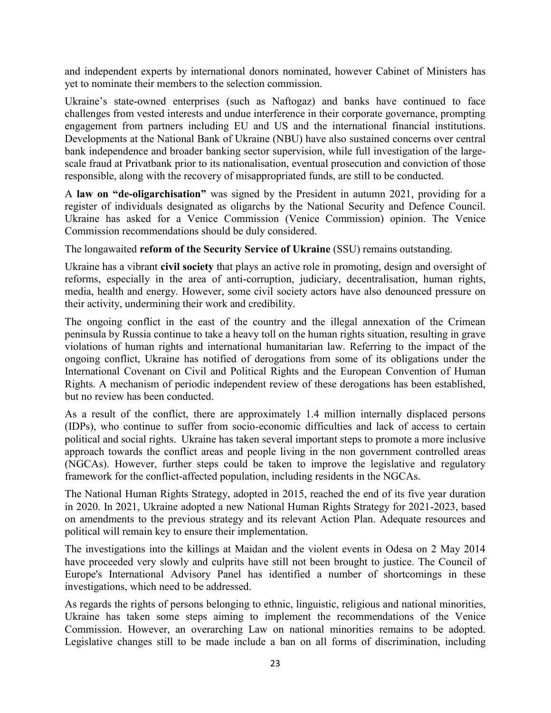and independent experts by international donors nominated, however Cabinet of Ministers has yet to nominate their members to the selection commission.

Ukraine's state-owned enterprises (such as Naftogaz) and banks have continued to face challenges from vested interests and undue interference in their corporate governance, prompting engagement from partners including EU and US and the international financial institutions. Developments at the National Bank of Ukraine (NBU) have also sustained concerns over central bank independence and broader banking sector supervision, while full investigation of the largescale fraud at Privatbank prior to its nationalisation, eventual prosecution and conviction of those responsible, along with the recovery of misappropriated funds, are still to be conducted.

A **law on "de-oligarchisation"** was signed by the President in autumn 2021, providing for a register of individuals designated as oligarchs by the National Security and Defence Council. Ukraine has asked for a Venice Commission (Venice Commission) opinion. The Venice Commission recommendations should be duly considered.

The longawaited **reform of the Security Service of Ukraine** (SSU) remains outstanding.

Ukraine has a vibrant **civil society** that plays an active role in promoting, design and oversight of reforms, especially in the area of anti-corruption, judiciary, decentralisation, human rights, media, health and energy. However, some civil society actors have also denounced pressure on their activity, undermining their work and credibility.

The ongoing conflict in the east of the country and the illegal annexation of the Crimean peninsula by Russia continue to take a heavy toll on the human rights situation, resulting in grave violations of human rights and international humanitarian law. Referring to the impact of the ongoing conflict, Ukraine has notified of derogations from some of its obligations under the International Covenant on Civil and Political Rights and the European Convention of Human Rights. A mechanism of periodic independent review of these derogations has been established, but no review has been conducted.

As a result of the conflict, there are approximately 1.4 million internally displaced persons (IDPs), who continue to suffer from socio-economic difficulties and lack of access to certain political and social rights. Ukraine has taken several important steps to promote a more inclusive approach towards the conflict areas and people living in the non government controlled areas (NGCAs). However, further steps could be taken to improve the legislative and regulatory framework for the conflict-affected population, including residents in the NGCAs.

The National Human Rights Strategy, adopted in 2015, reached the end of its five year duration in 2020. In 2021, Ukraine adopted a new National Human Rights Strategy for 2021-2023, based on amendments to the previous strategy and its relevant Action Plan. Adequate resources and political will remain key to ensure their implementation.

The investigations into the killings at Maidan and the violent events in Odesa on 2 May 2014 have proceeded very slowly and culprits have still not been brought to justice. The Council of Europe's International Advisory Panel has identified a number of shortcomings in these investigations, which need to be addressed.

As regards the rights of persons belonging to ethnic, linguistic, religious and national minorities, Ukraine has taken some steps aiming to implement the recommendations of the Venice Commission. However, an overarching Law on national minorities remains to be adopted. Legislative changes still to be made include a ban on all forms of discrimination, including